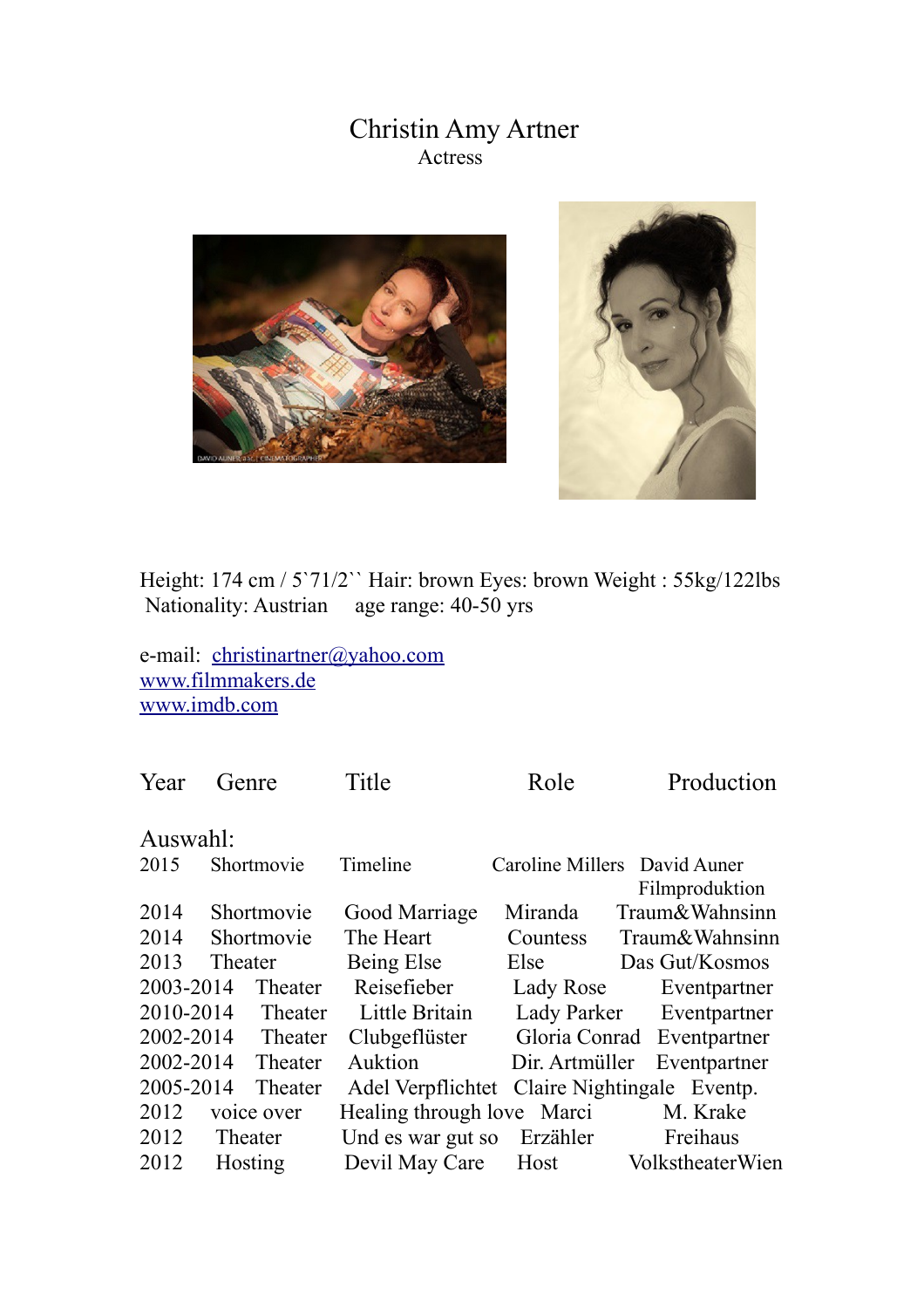## Christin Amy Artner Actress





Height: 174 cm / 5`71/2`` Hair: brown Eyes: brown Weight : 55kg/122lbs Nationality: Austrian age range: 40-50 yrs

e-mail: christinartner@yahoo.com [www.filmmakers.de](http://www.filmmakers.de/) [www.imdb.com](http://www.imdb.com/)

| Year               | Genre      |         | Title                      | Role           | Production                                     |  |  |  |  |
|--------------------|------------|---------|----------------------------|----------------|------------------------------------------------|--|--|--|--|
| Auswahl:           |            |         |                            |                |                                                |  |  |  |  |
| 2015               | Shortmovie |         | Timeline                   |                | Caroline Millers David Auner<br>Filmproduktion |  |  |  |  |
| 2014               | Shortmovie |         | Good Marriage              | Miranda        | Traum&Wahnsinn                                 |  |  |  |  |
| 2014               | Shortmovie |         | The Heart                  | Countess       | Traum&Wahnsinn                                 |  |  |  |  |
| 2013               | Theater    |         | Being Else                 | Else           | Das Gut/Kosmos                                 |  |  |  |  |
| 2003-2014          |            | Theater | Reisefieber                | Lady Rose      | Eventpartner                                   |  |  |  |  |
| 2010-2014          |            | Theater | Little Britain             |                | Lady Parker Eventpartner                       |  |  |  |  |
| 2002-2014          |            | Theater | Clubgeflüster              |                | Gloria Conrad Eventpartner                     |  |  |  |  |
| 2002-2014          |            | Theater | Auktion                    | Dir. Artmüller | Eventpartner                                   |  |  |  |  |
| 2005-2014          |            | Theater | Adel Verpflichtet          |                | Claire Nightingale Eventp.                     |  |  |  |  |
| 2012<br>voice over |            |         | Healing through love Marci |                | M. Krake                                       |  |  |  |  |
| 2012               | Theater    |         | Und es war gut so Erzähler |                | Freihaus                                       |  |  |  |  |
| 2012               | Hosting    |         | Devil May Care Host        |                | VolkstheaterWien                               |  |  |  |  |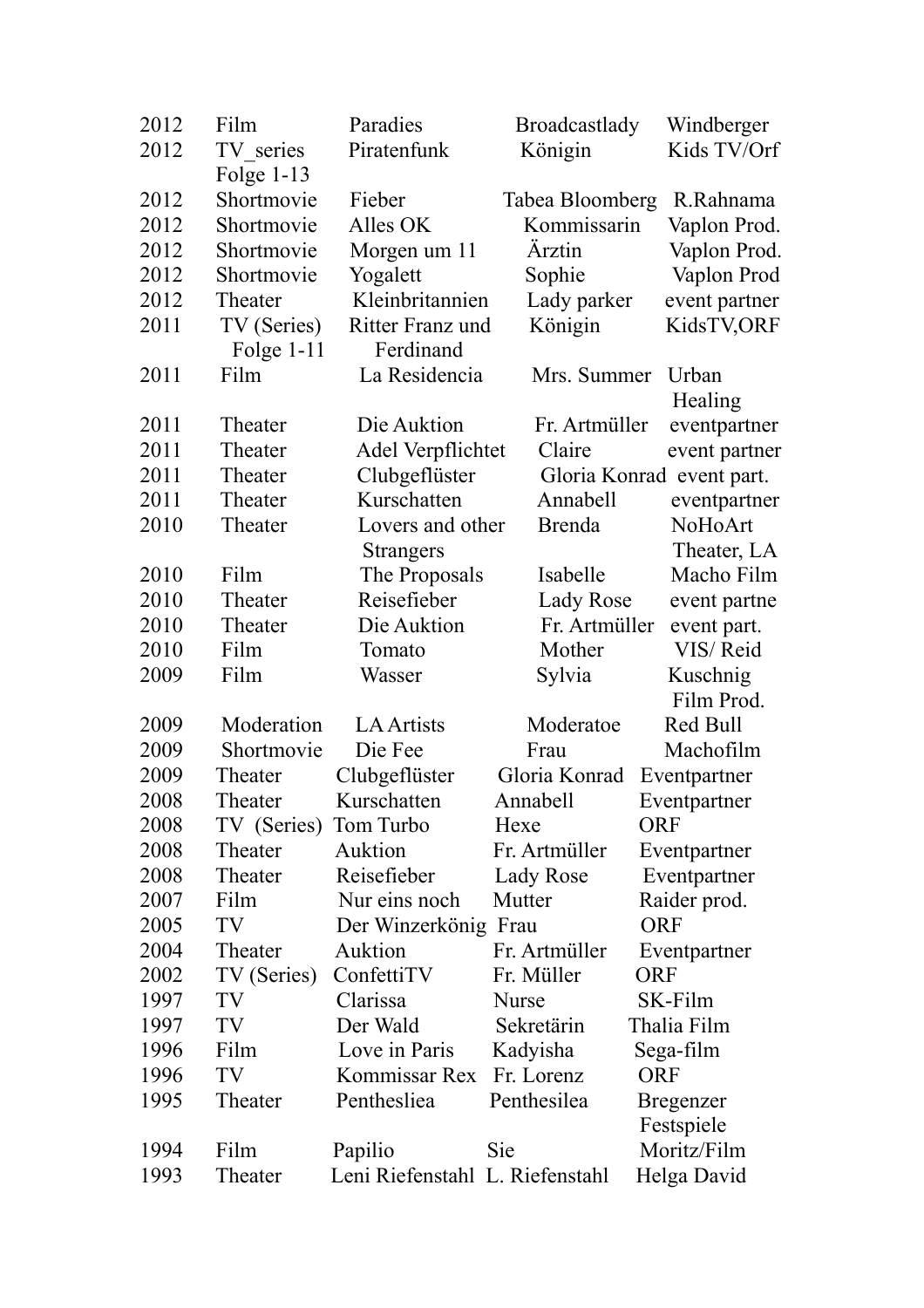| 2012 | Film                            | Paradies                        | <b>Broadcastlady</b> | Windberger       |
|------|---------------------------------|---------------------------------|----------------------|------------------|
| 2012 | TV series                       | Piratenfunk                     | Königin              | Kids TV/Orf      |
|      | Folge $1-13$                    |                                 |                      |                  |
| 2012 | Shortmovie                      | Fieber                          | Tabea Bloomberg      | R.Rahnama        |
| 2012 | Shortmovie                      | Alles OK                        | Kommissarin          | Vaplon Prod.     |
| 2012 | Shortmovie                      | Morgen um 11                    | Ärztin               | Vaplon Prod.     |
| 2012 | Shortmovie                      | Yogalett                        | Sophie               | Vaplon Prod      |
| 2012 | Theater                         | Kleinbritannien<br>Lady parker  |                      | event partner    |
| 2011 | TV (Series)<br>Ritter Franz und |                                 | Königin              | KidsTV,ORF       |
|      | Folge $1-11$                    | Ferdinand                       |                      |                  |
| 2011 | Film                            | La Residencia                   | Mrs. Summer          | Urban            |
|      |                                 |                                 |                      | Healing          |
| 2011 | Theater                         | Die Auktion                     | Fr. Artmüller        | eventpartner     |
| 2011 | Theater                         | Adel Verpflichtet               | Claire               | event partner    |
| 2011 | Theater                         | Clubgeflüster                   | Gloria Konrad        | event part.      |
| 2011 | Theater                         | Kurschatten                     | Annabell             | eventpartner     |
| 2010 | Theater                         | Lovers and other                | <b>Brenda</b>        | NoHoArt          |
|      |                                 | <b>Strangers</b>                |                      | Theater, LA      |
| 2010 | Film                            | The Proposals                   | Isabelle             | Macho Film       |
| 2010 | Theater                         | Reisefieber                     | Lady Rose            | event partne     |
| 2010 | Theater                         | Die Auktion                     | Fr. Artmüller        | event part.      |
| 2010 | Film                            | Tomato                          | Mother               | VIS/Reid         |
| 2009 | Film                            | Wasser                          | Sylvia               | Kuschnig         |
|      |                                 |                                 |                      | Film Prod.       |
| 2009 | Moderation                      | <b>LA Artists</b>               | Moderatoe            | Red Bull         |
| 2009 | Shortmovie                      | Die Fee                         | Frau                 | Machofilm        |
| 2009 | Theater                         | Clubgeflüster                   | Gloria Konrad        | Eventpartner     |
| 2008 | Theater                         | Kurschatten                     | Annabell             | Eventpartner     |
| 2008 | TV (Series)                     | Tom Turbo                       | Hexe                 | ORF              |
| 2008 | Theater                         | Auktion                         | Fr. Artmüller        | Eventpartner     |
| 2008 | Theater                         | Reisefieber                     | Lady Rose            | Eventpartner     |
| 2007 | Film                            | Nur eins noch                   | Mutter               | Raider prod.     |
| 2005 | TV                              | Der Winzerkönig Frau            |                      | <b>ORF</b>       |
| 2004 | Theater                         | Auktion                         | Fr. Artmüller        | Eventpartner     |
| 2002 | TV (Series)                     | ConfettiTV                      | Fr. Müller           | <b>ORF</b>       |
| 1997 | TV                              | Clarissa                        | <b>Nurse</b>         | SK-Film          |
| 1997 | TV                              | Der Wald                        | Sekretärin           | Thalia Film      |
| 1996 | Film                            | Love in Paris                   | Kadyisha             | Sega-film        |
| 1996 | TV                              | Kommissar Rex                   | Fr. Lorenz           | <b>ORF</b>       |
| 1995 | Theater                         | Penthesliea                     | Penthesilea          | <b>Bregenzer</b> |
|      |                                 |                                 |                      | Festspiele       |
| 1994 | Film                            | Papilio                         | Sie                  | Moritz/Film      |
| 1993 | Theater                         | Leni Riefenstahl L. Riefenstahl |                      | Helga David      |